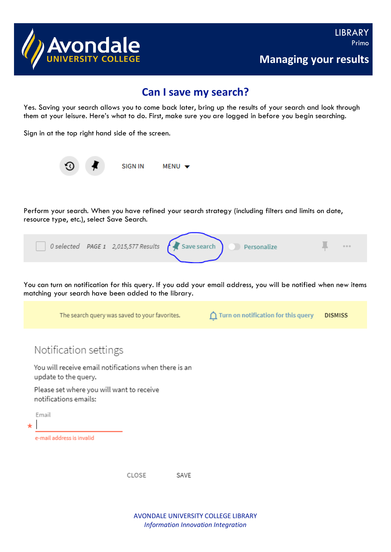

## **Can I save my search?**

Yes. Saving your search allows you to come back later, bring up the results of your search and look through them at your leisure. Here's what to do. First, make sure you are logged in before you begin searching.

Sign in at the top right hand side of the screen.



Perform your search. When you have refined your search strategy (including filters and limits on date, resource type, etc.), select Save Search.

| $\bigcap$ 0 selected PAGE 1 2,015,577 Results $\bigcap$ Save search | Personalize | 000 |
|---------------------------------------------------------------------|-------------|-----|
|                                                                     |             |     |

You can turn on notification for this query. If you add your email address, you will be notified when new items matching your search have been added to the library.

|                  | The search query was saved to your favorites.                                 |       |      | n | Turn on notification for this query | <b>DISMISS</b> |
|------------------|-------------------------------------------------------------------------------|-------|------|---|-------------------------------------|----------------|
|                  | Notification settings                                                         |       |      |   |                                     |                |
|                  | You will receive email notifications when there is an<br>update to the query. |       |      |   |                                     |                |
|                  | Please set where you will want to receive<br>notifications emails:            |       |      |   |                                     |                |
| Email<br>$\star$ |                                                                               |       |      |   |                                     |                |
|                  | e-mail address is invalid                                                     |       |      |   |                                     |                |
|                  |                                                                               | CLOSE | SAVE |   |                                     |                |

AVONDALE UNIVERSITY COLLEGE LIBRARY *Information Innovation Integration*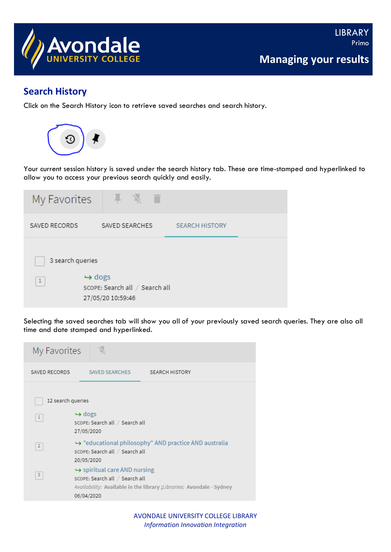

## **Search History**

Click on the Search History icon to retrieve saved searches and search history.



Your current session history is saved under the search history tab. These are time-stamped and hyperlinked to allow you to access your previous search quickly and easily.

| My Favorites              | л                                                                         |                       |  |
|---------------------------|---------------------------------------------------------------------------|-----------------------|--|
| SAVED RECORDS             | SAVED SEARCHES                                                            | <b>SEARCH HISTORY</b> |  |
| 3 search queries<br>$1\,$ | $\rightarrow$ dogs<br>SCOPE: Search all / Search all<br>27/05/20 10:59:46 |                       |  |

Selecting the saved searches tab will show you all of your previously saved search queries. They are also all time and date stamped and hyperlinked.